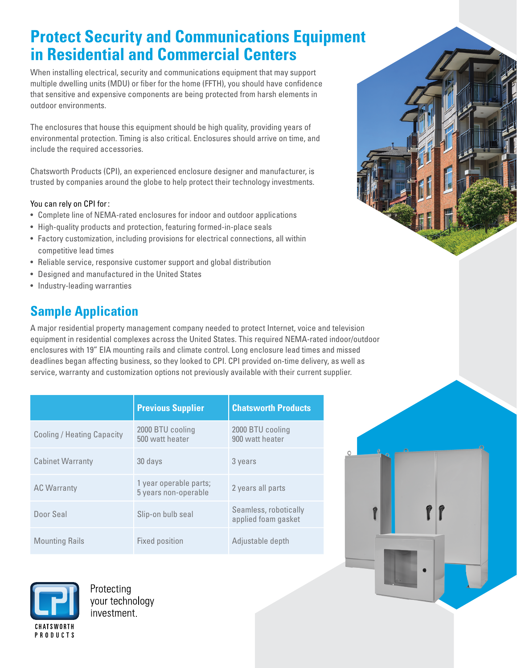# **Protect Security and Communications Equipment in Residential and Commercial Centers**

When installing electrical, security and communications equipment that may support multiple dwelling units (MDU) or fiber for the home (FFTH), you should have confidence that sensitive and expensive components are being protected from harsh elements in outdoor environments.

The enclosures that house this equipment should be high quality, providing years of environmental protection. Timing is also critical. Enclosures should arrive on time, and include the required accessories.

Chatsworth Products (CPI), an experienced enclosure designer and manufacturer, is trusted by companies around the globe to help protect their technology investments.

#### You can rely on CPI for :

- Complete line of NEMA-rated enclosures for indoor and outdoor applications
- High-quality products and protection, featuring formed-in-place seals
- Factory customization, including provisions for electrical connections, all within competitive lead times
- Reliable service, responsive customer support and global distribution
- Designed and manufactured in the United States
- Industry-leading warranties

## **Sample Application**

A major residential property management company needed to protect Internet, voice and television equipment in residential complexes across the United States. This required NEMA-rated indoor/outdoor enclosures with 19" EIA mounting rails and climate control. Long enclosure lead times and missed deadlines began affecting business, so they looked to CPI. CPI provided on-time delivery, as well as service, warranty and customization options not previously available with their current supplier.

|                                   | <b>Previous Supplier</b>                       | <b>Chatsworth Products</b>                   |
|-----------------------------------|------------------------------------------------|----------------------------------------------|
| <b>Cooling / Heating Capacity</b> | 2000 BTU cooling<br>500 watt heater            | 2000 BTU cooling<br>900 watt heater          |
| <b>Cabinet Warranty</b>           | 30 days                                        | 3 years                                      |
| <b>AC Warranty</b>                | 1 year operable parts;<br>5 years non-operable | 2 years all parts                            |
| Door Seal                         | Slip-on bulb seal                              | Seamless, robotically<br>applied foam gasket |
| <b>Mounting Rails</b>             | Fixed position                                 | Adjustable depth                             |



Protecting your technology investment.